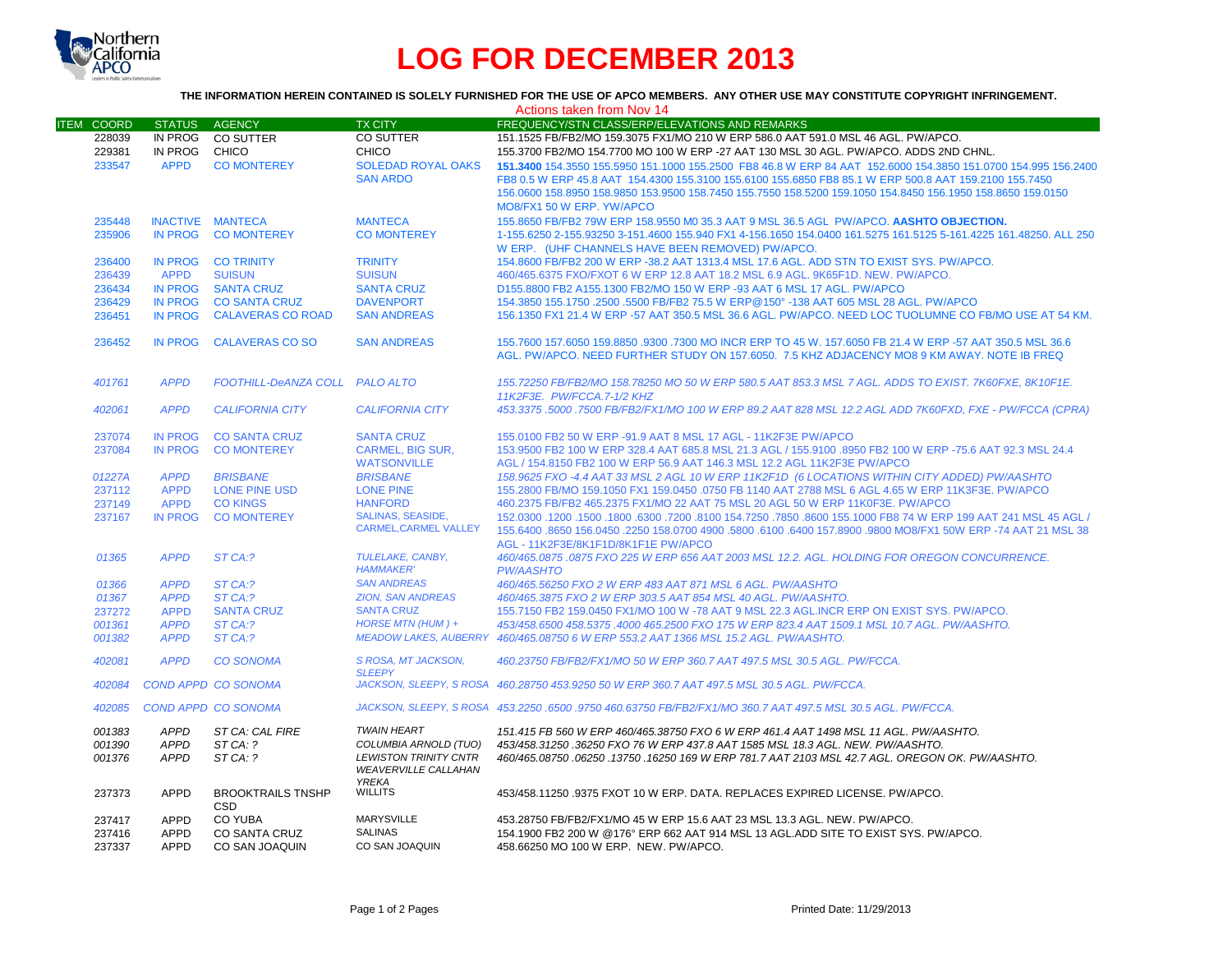

# **LOG FOR DECEMBER 2013**

## **THE INFORMATION HEREIN CONTAINED IS SOLELY FURNISHED FOR THE USE OF APCO MEMBERS. ANY OTHER USE MAY CONSTITUTE COPYRIGHT INFRINGEMENT.**

| Actions taken from Nov 14 |                         |                                |                              |                                                                                                                   |  |  |
|---------------------------|-------------------------|--------------------------------|------------------------------|-------------------------------------------------------------------------------------------------------------------|--|--|
| <b>ITEM COORD</b>         | <b>STATUS</b>           | AGENCY                         | <b>TX CITY</b>               | FREQUENCY/STN CLASS/ERP/ELEVATIONS AND REMARKS                                                                    |  |  |
| 228039                    | IN PROG                 | CO SUTTER                      | CO SUTTER                    | 151.1525 FB/FB2/MO 159.3075 FX1/MO 210 W ERP 586.0 AAT 591.0 MSL 46 AGL. PW/APCO.                                 |  |  |
| 229381                    | IN PROG                 | CHICO                          | CHICO                        | 155.3700 FB2/MO 154.7700 MO 100 W ERP -27 AAT 130 MSL 30 AGL, PW/APCO, ADDS 2ND CHNL,                             |  |  |
| 233547                    | <b>APPD</b>             | <b>CO MONTEREY</b>             | <b>SOLEDAD ROYAL OAKS</b>    | 151.3400 154.3550 155.5950 151.1000 155.2500 FB8 46.8 W ERP 84 AAT 152.6000 154.3850 151.0700 154.995 156.2400    |  |  |
|                           |                         |                                | <b>SAN ARDO</b>              | FB8 0.5 W ERP 45.8 AAT 154.4300 155.3100 155.6100 155.6850 FB8 85.1 W ERP 500.8 AAT 159.2100 155.7450             |  |  |
|                           |                         |                                |                              | 156.0600 158.8950 158.9850 153.9500 158.7450 155.7550 158.5200 159.1050 154.8450 156.1950 158.8650 159.0150       |  |  |
|                           |                         |                                |                              | MO8/FX1 50 W ERP. YW/APCO                                                                                         |  |  |
| 235448                    | <b>INACTIVE MANTECA</b> |                                | <b>MANTECA</b>               | 155.8650 FB/FB2 79W ERP 158.9550 M0 35.3 AAT 9 MSL 36.5 AGL PW/APCO. AASHTO OBJECTION.                            |  |  |
| 235906                    | <b>IN PROG</b>          | <b>CO MONTEREY</b>             | <b>CO MONTEREY</b>           | 1-155.6250 2-155.93250 3-151.4600 155.940 FX1 4-156.1650 154.0400 161.5275 161.5125 5-161.4225 161.48250. ALL 250 |  |  |
|                           |                         |                                |                              | W ERP. (UHF CHANNELS HAVE BEEN REMOVED) PW/APCO.                                                                  |  |  |
| 236400                    | IN PROG                 | <b>CO TRINITY</b>              | <b>TRINITY</b>               | 154,8600 FB/FB2 200 W ERP -38.2 AAT 1313.4 MSL 17.6 AGL, ADD STN TO EXIST SYS, PW/APCO,                           |  |  |
| 236439                    | <b>APPD</b>             | <b>SUISUN</b>                  | <b>SUISUN</b>                | 460/465.6375 FXO/FXOT 6 W ERP 12.8 AAT 18.2 MSL 6.9 AGL. 9K65F1D. NEW. PW/APCO.                                   |  |  |
| 236434                    | IN PROG                 | <b>SANTA CRUZ</b>              | <b>SANTA CRUZ</b>            | D155.8800 FB2 A155.1300 FB2/MO 150 W ERP -93 AAT 6 MSL 17 AGL. PW/APCO                                            |  |  |
| 236429                    | <b>IN PROG</b>          | <b>CO SANTA CRUZ</b>           | <b>DAVENPORT</b>             | 154.3850 155.1750 .2500 .5500 FB/FB2 75.5 W ERP@150° -138 AAT 605 MSL 28 AGL. PW/APCO                             |  |  |
| 236451                    | <b>IN PROG</b>          | <b>CALAVERAS CO ROAD</b>       | <b>SAN ANDREAS</b>           | 156.1350 FX1 21.4 W ERP -57 AAT 350.5 MSL 36.6 AGL. PW/APCO, NEED LOC TUOLUMNE CO FB/MO USE AT 54 KM.             |  |  |
|                           |                         |                                |                              |                                                                                                                   |  |  |
| 236452                    | <b>IN PROG</b>          | <b>CALAVERAS CO SO</b>         | <b>SAN ANDREAS</b>           | 155.7600 157.6050 159.8850 .9300 .7300 MO INCR ERP TO 45 W, 157.6050 FB 21.4 W ERP -57 AAT 350.5 MSL 36.6         |  |  |
|                           |                         |                                |                              | AGL. PW/APCO. NEED FURTHER STUDY ON 157.6050. 7.5 KHZ ADJACENCY MO8 9 KM AWAY. NOTE IB FREQ                       |  |  |
|                           |                         |                                |                              |                                                                                                                   |  |  |
| 401761                    | <b>APPD</b>             | FOOTHILL-DeANZA COLL PALO ALTO |                              | 155.72250 FB/FB2/MO 158.78250 MO 50 W ERP 580.5 AAT 853.3 MSL 7 AGL. ADDS TO EXIST. 7K60FXE, 8K10F1E.             |  |  |
|                           |                         |                                |                              | 11K2F3E. PW/FCCA.7-1/2 KHZ                                                                                        |  |  |
| 402061                    | <b>APPD</b>             | <b>CALIFORNIA CITY</b>         | <b>CALIFORNIA CITY</b>       | 453.3375 .5000 .7500 FB/FB2/FX1/MO 100 W ERP 89.2 AAT 828 MSL 12.2 AGL ADD 7K60FXD, FXE - PW/FCCA (CPRA)          |  |  |
|                           |                         |                                |                              |                                                                                                                   |  |  |
| 237074                    | <b>IN PROG</b>          | <b>CO SANTA CRUZ</b>           | <b>SANTA CRUZ</b>            | 155,0100 FB2 50 W ERP -91.9 AAT 8 MSL 17 AGL - 11K2F3E PW/APCO                                                    |  |  |
| 237084                    | <b>IN PROG</b>          | <b>CO MONTEREY</b>             | <b>CARMEL, BIG SUR,</b>      | 153.9500 FB2 100 W ERP 328.4 AAT 685.8 MSL 21.3 AGL / 155.9100 .8950 FB2 100 W ERP -75.6 AAT 92.3 MSL 24.4        |  |  |
|                           |                         |                                | <b>WATSONVILLE</b>           | AGL / 154.8150 FB2 100 W ERP 56.9 AAT 146.3 MSL 12.2 AGL 11K2F3E PW/APCO                                          |  |  |
| 01227A                    | <b>APPD</b>             | <b>BRISBANE</b>                | <b>BRISBANE</b>              | 158.9625 FXO -4.4 AAT 33 MSL 2 AGL 10 W ERP 11K2F1D (6 LOCATIONS WITHIN CITY ADDED) PW/AASHTO                     |  |  |
| 237112                    | <b>APPD</b>             | <b>LONE PINE USD</b>           | <b>LONE PINE</b>             | 155.2800 FB/MO 159.1050 FX1 159.0450 .0750 FB 1140 AAT 2788 MSL 6 AGL 4.65 W ERP 11K3F3E. PW/APCO                 |  |  |
| 237149                    | <b>APPD</b>             | <b>CO KINGS</b>                | <b>HANFORD</b>               | 460.2375 FB/FB2 465.2375 FX1/MO 22 AAT 75 MSL 20 AGL 50 W ERP 11K0F3E, PW/APCO                                    |  |  |
| 237167                    | <b>IN PROG</b>          | <b>CO MONTEREY</b>             | <b>SALINAS, SEASIDE,</b>     | 150 45 45 45 45 45 45 46 47 152.0300 6300 7200 6300 7800 634.7250 17850 6800 155.1000 FB8 74 W ERP 199 AAT 241    |  |  |
|                           |                         |                                | <b>CARMEL, CARMEL VALLEY</b> | 155.6400 .8650 156.0450 .2250 158.0700 4900 .5800 .6100 .6400 157.8900 .9800 MO8/FX1 50W ERP -74 AAT 21 MSL 38    |  |  |
|                           |                         |                                |                              | AGL - 11K2F3E/8K1F1D/8K1F1E PW/APCO                                                                               |  |  |
| 01365                     | <b>APPD</b>             | ST CA:?                        | TULELAKE. CANBY.             | 460/465.0875 .0875 FXO 225 W ERP 656 AAT 2003 MSL 12.2. AGL. HOLDING FOR OREGON CONCURRENCE.                      |  |  |
|                           |                         |                                | <b>HAMMAKER'</b>             | <b>PW/AASHTO</b>                                                                                                  |  |  |
| 01366                     | <b>APPD</b>             | ST CA:?                        | <b>SAN ANDREAS</b>           | 460/465.56250 FXO 2 W ERP 483 AAT 871 MSL 6 AGL, PW/AASHTO                                                        |  |  |
| 01367                     | <b>APPD</b>             | ST CA:?                        | <b>ZION. SAN ANDREAS</b>     | 460/465.3875 FXO 2 W ERP 303.5 AAT 854 MSL 40 AGL. PW/AASHTO.                                                     |  |  |
| 237272                    | <b>APPD</b>             | <b>SANTA CRUZ</b>              | <b>SANTA CRUZ</b>            | 155,7150 FB2 159,0450 FX1/MO 100 W -78 AAT 9 MSL 22.3 AGL. INCR ERP ON EXIST SYS. PW/APCO.                        |  |  |
| 001361                    | <b>APPD</b>             | ST CA:?                        | HORSE MTN (HUM) +            | 453/458.6500 458.5375 .4000 465.2500 FXO 175 W ERP 823.4 AAT 1509.1 MSL 10.7 AGL. PW/AASHTO.                      |  |  |
| 001382                    | <b>APPD</b>             | ST CA:?                        | <b>MEADOW LAKES, AUBERRY</b> | 460/465.08750 6 W ERP 553.2 AAT 1366 MSL 15.2 AGL. PW/AASHTO.                                                     |  |  |
|                           |                         |                                |                              |                                                                                                                   |  |  |
| 402081                    | <b>APPD</b>             | <b>CO SONOMA</b>               | S ROSA, MT JACKSON,          | 460.23750 FB/FB2/FX1/MO 50 W ERP 360.7 AAT 497.5 MSL 30.5 AGL. PW/FCCA.                                           |  |  |
|                           |                         |                                | <b>SLEEPY</b>                |                                                                                                                   |  |  |
| 402084                    |                         | <b>COND APPD CO SONOMA</b>     |                              | JACKSON, SLEEPY, S ROSA 460.28750 453.9250 50 W ERP 360.7 AAT 497.5 MSL 30.5 AGL, PW/FCCA,                        |  |  |
| 402085                    |                         | <b>COND APPD CO SONOMA</b>     |                              | JACKSON, SLEEPY, S ROSA 453.2250 .6500 .9750 460.63750 FB/FB2/FX1/MO 360.7 AAT 497.5 MSL 30.5 AGL. PW/FCCA.       |  |  |
| 001383                    | APPD                    | ST CA: CAL FIRE                | <b>TWAIN HEART</b>           | 151.415 FB 560 W ERP 460/465.38750 FXO 6 W ERP 461.4 AAT 1498 MSL 11 AGL, PW/AASHTO,                              |  |  |
| 001390                    | <b>APPD</b>             | STCA: ?                        | COLUMBIA ARNOLD (TUO)        | 453/458.31250.36250 FXO 76 W ERP 437.8 AAT 1585 MSL 18.3 AGL. NEW. PW/AASHTO.                                     |  |  |
| 001376                    | <b>APPD</b>             | ST CA: ?                       | <b>LEWISTON TRINITY CNTR</b> | 460/465.08750.06250.13750.16250.169 W ERP 781.7 AAT 2103 MSL 42.7 AGL. OREGON OK. PW/AASHTO.                      |  |  |
|                           |                         |                                | <b>WEAVERVILLE CALLAHAN</b>  |                                                                                                                   |  |  |
|                           |                         |                                | <b>YREKA</b>                 |                                                                                                                   |  |  |
| 237373                    | <b>APPD</b>             | <b>BROOKTRAILS TNSHP</b>       | <b>WILLITS</b>               | 453/458.11250.9375 FXOT 10 W ERP. DATA. REPLACES EXPIRED LICENSE. PW/APCO.                                        |  |  |
|                           |                         | <b>CSD</b>                     |                              |                                                                                                                   |  |  |
| 237417                    | <b>APPD</b>             | <b>CO YUBA</b>                 | <b>MARYSVILLE</b>            | 453.28750 FB/FB2/FX1/MO 45 W ERP 15.6 AAT 23 MSL 13.3 AGL. NEW. PW/APCO.                                          |  |  |
| 237416                    | <b>APPD</b>             | <b>CO SANTA CRUZ</b>           | <b>SALINAS</b>               | 154.1900 FB2 200 W @176° ERP 662 AAT 914 MSL 13 AGL.ADD SITE TO EXIST SYS. PW/APCO.                               |  |  |
| 237337                    | <b>APPD</b>             | CO SAN JOAQUIN                 | CO SAN JOAQUIN               | 458.66250 MO 100 W ERP. NEW. PW/APCO.                                                                             |  |  |